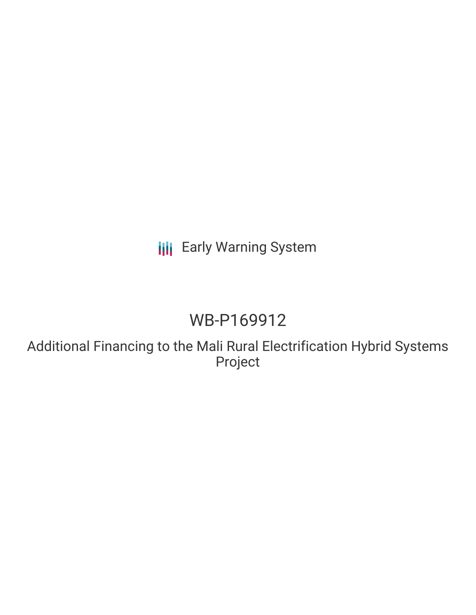## **III** Early Warning System

# WB-P169912

Additional Financing to the Mali Rural Electrification Hybrid Systems Project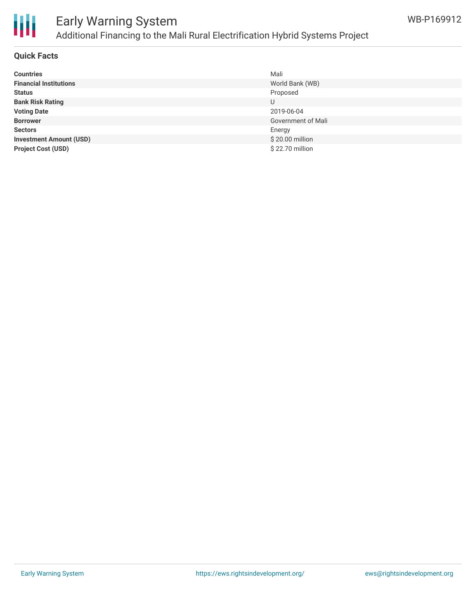

## Early Warning System Additional Financing to the Mali Rural Electrification Hybrid Systems Project

#### **Quick Facts**

| <b>Countries</b>               | Mali               |
|--------------------------------|--------------------|
| <b>Financial Institutions</b>  | World Bank (WB)    |
| <b>Status</b>                  | Proposed           |
| <b>Bank Risk Rating</b>        |                    |
| <b>Voting Date</b>             | 2019-06-04         |
| <b>Borrower</b>                | Government of Mali |
| <b>Sectors</b>                 | Energy             |
| <b>Investment Amount (USD)</b> | \$20.00 million    |
| <b>Project Cost (USD)</b>      | \$22.70 million    |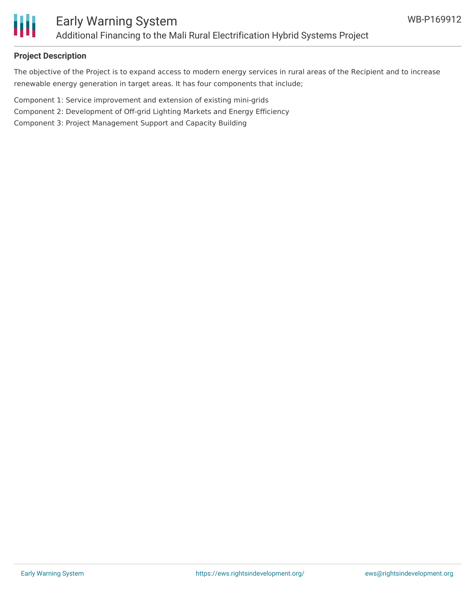

### **Project Description**

The objective of the Project is to expand access to modern energy services in rural areas of the Recipient and to increase renewable energy generation in target areas. It has four components that include;

Component 1: Service improvement and extension of existing mini-grids

Component 2: Development of Off-grid Lighting Markets and Energy Efficiency

Component 3: Project Management Support and Capacity Building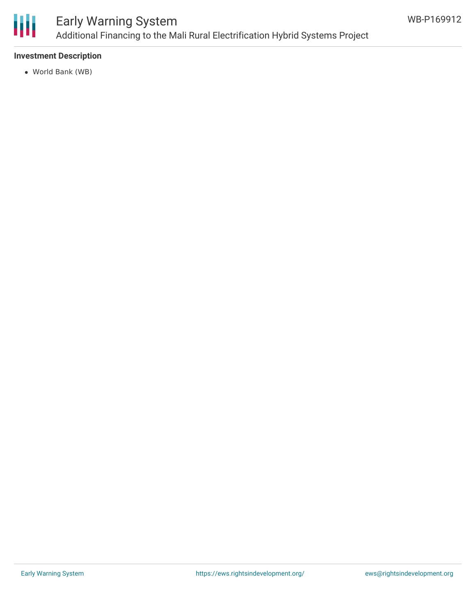

## Early Warning System Additional Financing to the Mali Rural Electrification Hybrid Systems Project

### **Investment Description**

World Bank (WB)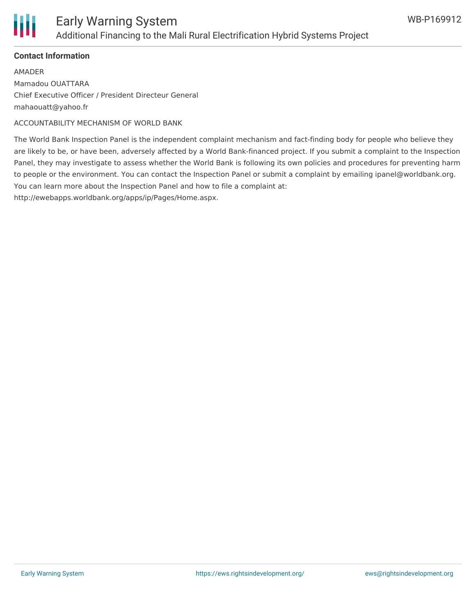

### **Contact Information**

AMADER Mamadou OUATTARA Chief Executive Officer / President Directeur General mahaouatt@yahoo.fr

ACCOUNTABILITY MECHANISM OF WORLD BANK

The World Bank Inspection Panel is the independent complaint mechanism and fact-finding body for people who believe they are likely to be, or have been, adversely affected by a World Bank-financed project. If you submit a complaint to the Inspection Panel, they may investigate to assess whether the World Bank is following its own policies and procedures for preventing harm to people or the environment. You can contact the Inspection Panel or submit a complaint by emailing ipanel@worldbank.org. You can learn more about the Inspection Panel and how to file a complaint at:

http://ewebapps.worldbank.org/apps/ip/Pages/Home.aspx.